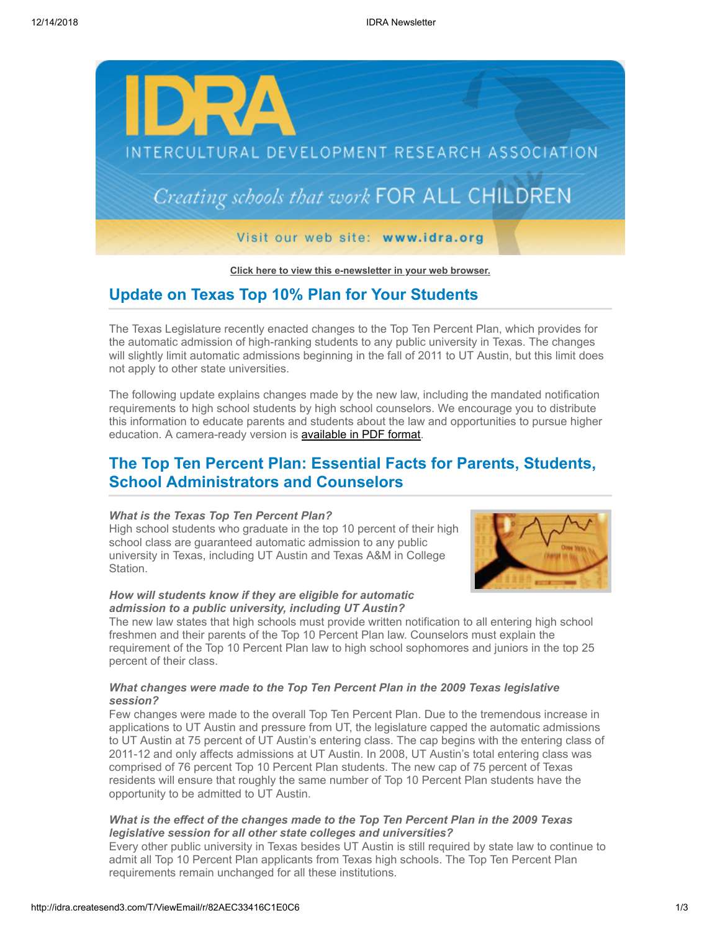

**[Click here to view this e-newsletter in your web browser.](http://idra.createsend1.com/t/r/e/dtjtht/l/)**

## **Update on Texas Top 10% Plan for Your Students**

The Texas Legislature recently enacted changes to the Top Ten Percent Plan, which provides for the automatic admission of high-ranking students to any public university in Texas. The changes will slightly limit automatic admissions beginning in the fall of 2011 to UT Austin, but this limit does not apply to other state universities.

The following update explains changes made by the new law, including the mandated notification requirements to high school students by high school counselors. We encourage you to distribute this information to educate parents and students about the law and opportunities to pursue higher education. A camera-ready version is **available in PDF format**.

# **The Top Ten Percent Plan: Essential Facts for Parents, Students, School Administrators and Counselors**

#### *What is the Texas Top Ten Percent Plan?*

High school students who graduate in the top 10 percent of their high school class are guaranteed automatic admission to any public university in Texas, including UT Austin and Texas A&M in College Station.

### *How will students know if they are eligible for automatic admission to a public university, including UT Austin?*



The new law states that high schools must provide written notification to all entering high school freshmen and their parents of the Top 10 Percent Plan law. Counselors must explain the requirement of the Top 10 Percent Plan law to high school sophomores and juniors in the top 25 percent of their class.

### *What changes were made to the Top Ten Percent Plan in the 2009 Texas legislative session?*

Few changes were made to the overall Top Ten Percent Plan. Due to the tremendous increase in applications to UT Austin and pressure from UT, the legislature capped the automatic admissions to UT Austin at 75 percent of UT Austin's entering class. The cap begins with the entering class of 2011-12 and only affects admissions at UT Austin. In 2008, UT Austin's total entering class was comprised of 76 percent Top 10 Percent Plan students. The new cap of 75 percent of Texas residents will ensure that roughly the same number of Top 10 Percent Plan students have the opportunity to be admitted to UT Austin.

#### *What is the effect of the changes made to the Top Ten Percent Plan in the 2009 Texas legislative session for all other state colleges and universities?*

Every other public university in Texas besides UT Austin is still required by state law to continue to admit all Top 10 Percent Plan applicants from Texas high schools. The Top Ten Percent Plan requirements remain unchanged for all these institutions.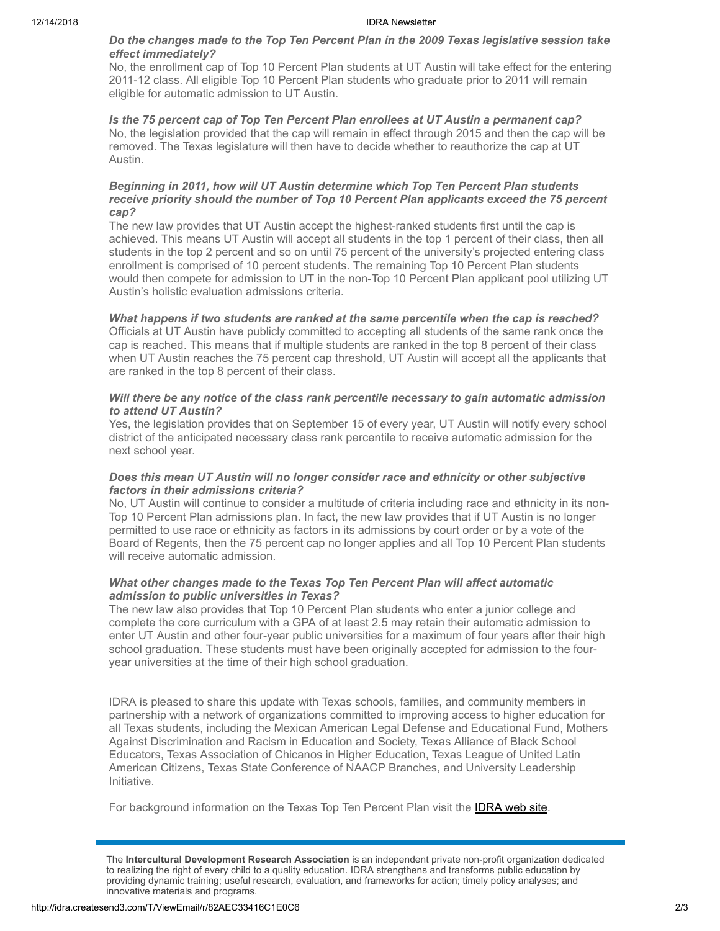#### 12/14/2018 IDRA Newsletter

#### *Do the changes made to the Top Ten Percent Plan in the 2009 Texas legislative session take effect immediately?*

No, the enrollment cap of Top 10 Percent Plan students at UT Austin will take effect for the entering 2011-12 class. All eligible Top 10 Percent Plan students who graduate prior to 2011 will remain eligible for automatic admission to UT Austin.

*Is the 75 percent cap of Top Ten Percent Plan enrollees at UT Austin a permanent cap?* No, the legislation provided that the cap will remain in effect through 2015 and then the cap will be removed. The Texas legislature will then have to decide whether to reauthorize the cap at UT Austin.

#### *Beginning in 2011, how will UT Austin determine which Top Ten Percent Plan students receive priority should the number of Top 10 Percent Plan applicants exceed the 75 percent cap?*

The new law provides that UT Austin accept the highest-ranked students first until the cap is achieved. This means UT Austin will accept all students in the top 1 percent of their class, then all students in the top 2 percent and so on until 75 percent of the university's projected entering class enrollment is comprised of 10 percent students. The remaining Top 10 Percent Plan students would then compete for admission to UT in the non-Top 10 Percent Plan applicant pool utilizing UT Austin's holistic evaluation admissions criteria.

### *What happens if two students are ranked at the same percentile when the cap is reached?*

Officials at UT Austin have publicly committed to accepting all students of the same rank once the cap is reached. This means that if multiple students are ranked in the top 8 percent of their class when UT Austin reaches the 75 percent cap threshold, UT Austin will accept all the applicants that are ranked in the top 8 percent of their class.

#### *Will there be any notice of the class rank percentile necessary to gain automatic admission to attend UT Austin?*

Yes, the legislation provides that on September 15 of every year, UT Austin will notify every school district of the anticipated necessary class rank percentile to receive automatic admission for the next school year.

### *Does this mean UT Austin will no longer consider race and ethnicity or other subjective factors in their admissions criteria?*

No, UT Austin will continue to consider a multitude of criteria including race and ethnicity in its non-Top 10 Percent Plan admissions plan. In fact, the new law provides that if UT Austin is no longer permitted to use race or ethnicity as factors in its admissions by court order or by a vote of the Board of Regents, then the 75 percent cap no longer applies and all Top 10 Percent Plan students will receive automatic admission.

#### *What other changes made to the Texas Top Ten Percent Plan will affect automatic admission to public universities in Texas?*

The new law also provides that Top 10 Percent Plan students who enter a junior college and complete the core curriculum with a GPA of at least 2.5 may retain their automatic admission to enter UT Austin and other four-year public universities for a maximum of four years after their high school graduation. These students must have been originally accepted for admission to the fouryear universities at the time of their high school graduation.

IDRA is pleased to share this update with Texas schools, families, and community members in partnership with a network of organizations committed to improving access to higher education for all Texas students, including the Mexican American Legal Defense and Educational Fund, Mothers Against Discrimination and Racism in Education and Society, Texas Alliance of Black School Educators, Texas Association of Chicanos in Higher Education, Texas League of United Latin American Citizens, Texas State Conference of NAACP Branches, and University Leadership Initiative.

For background information on the Texas Top Ten Percent Plan visit the **IDRA web site**.

The **Intercultural Development Research Association** is an independent private non-profit organization dedicated to realizing the right of every child to a quality education. IDRA strengthens and transforms public education by providing dynamic training; useful research, evaluation, and frameworks for action; timely policy analyses; and innovative materials and programs.